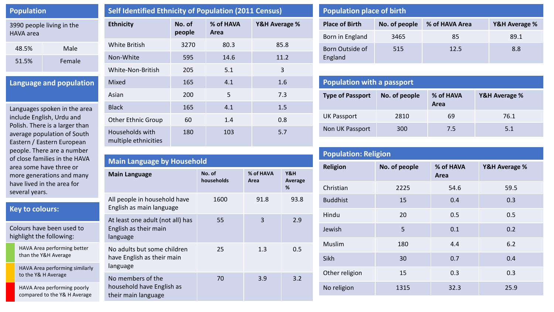| <b>Population</b>                                                                                                                                                                                                       |      |  |  |  |
|-------------------------------------------------------------------------------------------------------------------------------------------------------------------------------------------------------------------------|------|--|--|--|
| 3990 people living in the<br>HAVA area                                                                                                                                                                                  |      |  |  |  |
| 48.5%                                                                                                                                                                                                                   | Male |  |  |  |
| 51.5%<br>Female                                                                                                                                                                                                         |      |  |  |  |
| Language and population                                                                                                                                                                                                 |      |  |  |  |
| Languages spoken in the area<br>include English, Urdu and<br>Polish. There is a larger than<br>average population of South<br>Eastern / Eastern European<br>people. There are a number<br>of close families in the HAVA |      |  |  |  |

| of close families in the HAVA |  |
|-------------------------------|--|
| area some have three or       |  |
| more generations and many     |  |
| have lived in the area for    |  |
| several years.                |  |

# **Key to colours:**

| Colours have been used to |
|---------------------------|
| highlight the following:  |

HAVA Area performing better than the Y&H Average

HAVA Area performing similarly to the Y& H Average

HAVA Area performing poorly compared to the Y& H Average

|   | <b>Self Identified Ethnicity of Population (2011 Census)</b> |                  |                   |               |  |
|---|--------------------------------------------------------------|------------------|-------------------|---------------|--|
|   | <b>Ethnicity</b>                                             | No. of<br>people | % of HAVA<br>Area | Y&H Average % |  |
|   | <b>White British</b>                                         | 3270             | 80.3              | 85.8          |  |
|   | Non-White                                                    | 595              | 14.6              | 11.2          |  |
|   | White-Non-British                                            | 205              | 5.1               | 3             |  |
| m | Mixed                                                        | 165              | 4.1               | 1.6           |  |
|   | Asian                                                        | 200              | 5                 | 7.3           |  |
| a | <b>Black</b>                                                 | 165              | 4.1               | 1.5           |  |
|   | <b>Other Ethnic Group</b>                                    | 60               | 1.4               | 0.8           |  |
|   | Households with<br>multiple ethnicities                      | 180              | 103               | 5.7           |  |

| <b>Main Language by Household</b>                                     |                      |                   |                     |  |  |
|-----------------------------------------------------------------------|----------------------|-------------------|---------------------|--|--|
| <b>Main Language</b>                                                  | No. of<br>households | % of HAVA<br>Area | Y&H<br>Average<br>% |  |  |
| All people in household have<br>English as main language              | 1600                 | 91.8              | 93.8                |  |  |
| At least one adult (not all) has<br>English as their main<br>language | 55                   | 3                 | 2.9                 |  |  |
| No adults but some children<br>have English as their main<br>language | 25                   | 1.3               | 0.5                 |  |  |
| No members of the<br>household have English as<br>their main language | 70                   | 3.9               | 3.2                 |  |  |

| <b>Population place of birth</b> |  |
|----------------------------------|--|
|----------------------------------|--|

| <b>Place of Birth</b>      | No. of people | % of HAVA Area | Y&H Average % |  |  |
|----------------------------|---------------|----------------|---------------|--|--|
| Born in England            | 3465          | 85             | 89.1          |  |  |
| Born Outside of<br>England | 515           | 12.5           | 8.8           |  |  |

| <b>Population with a passport</b> |               |                   |               |  |
|-----------------------------------|---------------|-------------------|---------------|--|
| <b>Type of Passport</b>           | No. of people | % of HAVA<br>Area | Y&H Average % |  |
| <b>UK Passport</b>                | 2810          | 69                | 76.1          |  |
| Non UK Passport                   | 300           | 7.5               | 5.1           |  |

| <b>Population: Religion</b> |               |                   |               |  |
|-----------------------------|---------------|-------------------|---------------|--|
| <b>Religion</b>             | No. of people | % of HAVA<br>Area | Y&H Average % |  |
| Christian                   | 2225          | 54.6              | 59.5          |  |
| <b>Buddhist</b>             | 15            | 0.4               | 0.3           |  |
| Hindu                       | 20            | 0.5               | 0.5           |  |
| Jewish                      | 5             | 0.1               | 0.2           |  |
| Muslim                      | 180           | 4.4               | 6.2           |  |
| Sikh                        | 30            | 0.7               | 0.4           |  |
| Other religion              | 15            | 0.3               | 0.3           |  |
| No religion                 | 1315          | 32.3              | 25.9          |  |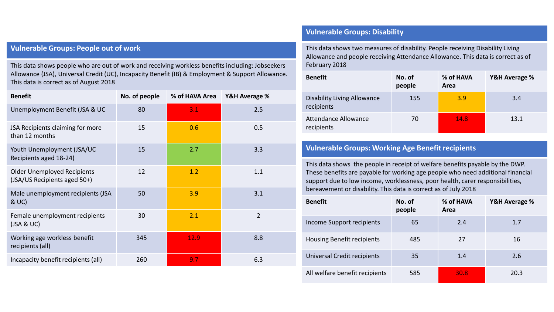#### **Vulnerable Groups: People out of work**

This data shows people who are out of work and receiving workless benefits including: Jobseekers Allowance (JSA), Universal Credit (UC), Incapacity Benefit (IB) & Employment & Support Allowance. This data is correct as of August 2018

| <b>Benefit</b>                                                     | No. of people | % of HAVA Area | Y&H Average %  |
|--------------------------------------------------------------------|---------------|----------------|----------------|
| Unemployment Benefit (JSA & UC                                     | 80            | 3.1            | 2.5            |
| JSA Recipients claiming for more<br>than 12 months                 | 15            | 0.6            | 0.5            |
| Youth Unemployment (JSA/UC<br>Recipients aged 18-24)               | 15            | 2.7            | 3.3            |
| <b>Older Unemployed Recipients</b><br>(JSA/US Recipients aged 50+) | 12            | 1.2            | 1.1            |
| Male unemployment recipients (JSA<br>&UC)                          | 50            | 3.9            | 3.1            |
| Female unemployment recipients<br>$($ JSA & UC $)$                 | 30            | 2.1            | $\overline{2}$ |
| Working age workless benefit<br>recipients (all)                   | 345           | 12.9           | 8.8            |
| Incapacity benefit recipients (all)                                | 260           | 9.7            | 6.3            |

### **Vulnerable Groups: Disability**

This data shows two measures of disability. People receiving Disability Living Allowance and people receiving Attendance Allowance. This data is correct as of February 2018

| <b>Benefit</b>                                   | No. of<br>people | % of HAVA<br>Area | Y&H Average % |
|--------------------------------------------------|------------------|-------------------|---------------|
| <b>Disability Living Allowance</b><br>recipients | 155              | 3.9               | 3.4           |
| <b>Attendance Allowance</b><br>recipients        | 70               | 14.8              | 13.1          |

#### **Vulnerable Groups: Working Age Benefit recipients**

This data shows the people in receipt of welfare benefits payable by the DWP. These benefits are payable for working age people who need additional financial support due to low income, worklessness, poor health, carer responsibilities, bereavement or disability. This data is correct as of July 2018

| <b>Benefit</b>                    | No. of<br>people | % of HAVA<br>Area | Y&H Average % |
|-----------------------------------|------------------|-------------------|---------------|
| Income Support recipients         | 65               | 2.4               | 1.7           |
| <b>Housing Benefit recipients</b> | 485              | 27                | 16            |
| Universal Credit recipients       | 35               | 1.4               | 2.6           |
| All welfare benefit recipients    | 585              | 30.8              | 20.3          |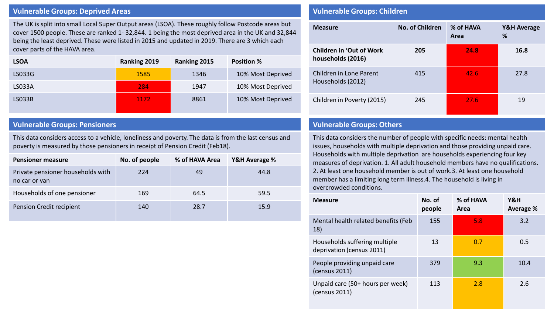#### **Vulnerable Groups: Deprived Areas**

The UK is split into small Local Super Output areas (LSOA). These roughly follow Postcode areas but cover 1500 people. These are ranked 1- 32,844. 1 being the most deprived area in the UK and 32,844 being the least deprived. These were listed in 2015 and updated in 2019. There are 3 which each cover parts of the HAVA area.

| <b>LSOA</b>   | <b>Ranking 2019</b> | Ranking 2015 | <b>Position %</b> |
|---------------|---------------------|--------------|-------------------|
| LS033G        | 1585                | 1346         | 10% Most Deprived |
| <b>LS033A</b> | 284                 | 1947         | 10% Most Deprived |
| <b>LS033B</b> | 1172                | 8861         | 10% Most Deprived |

#### **Vulnerable Groups: Pensioners**

This data considers access to a vehicle, loneliness and poverty. The data is from the last census and poverty is measured by those pensioners in receipt of Pension Credit (Feb18).

| <b>Pensioner measure</b>                           | No. of people | % of HAVA Area | Y&H Average % |
|----------------------------------------------------|---------------|----------------|---------------|
| Private pensioner households with<br>no car or van | 224           | 49             | 44.8          |
| Households of one pensioner                        | 169           | 64.5           | 59.5          |
| Pension Credit recipient                           | 140           | 28.7           | 15.9          |

#### **Vulnerable Groups: Children**

| <b>Measure</b>                                       | No. of Children | % of HAVA<br>Area | Y&H Average<br>% |
|------------------------------------------------------|-----------------|-------------------|------------------|
| <b>Children in 'Out of Work</b><br>households (2016) | 205             | 24.8              | 16.8             |
| Children in Lone Parent<br>Households (2012)         | 415             | 42.6              | 27.8             |
| Children in Poverty (2015)                           | 245             | 27.6              | 19               |

#### **Vulnerable Groups: Others**

This data considers the number of people with specific needs: mental health issues, households with multiple deprivation and those providing unpaid care. Households with multiple deprivation are households experiencing four key measures of deprivation. 1. All adult household members have no qualifications. 2. At least one household member is out of work.3. At least one household member has a limiting long term illness.4. The household is living in overcrowded conditions.

| <b>Measure</b>                                             | No. of<br>people | % of HAVA<br>Area | Y&H<br><b>Average %</b> |
|------------------------------------------------------------|------------------|-------------------|-------------------------|
| Mental health related benefits (Feb<br>18)                 | 155              | 5.8               | 3.2                     |
| Households suffering multiple<br>deprivation (census 2011) | 13               | 0.7               | 0.5                     |
| People providing unpaid care<br>(census 2011)              | 379              | 9.3               | 10.4                    |
| Unpaid care (50+ hours per week)<br>(census 2011)          | 113              | 2.8               | 2.6                     |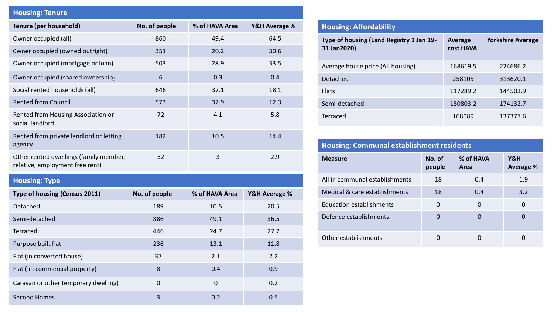## **Housing: Tenure**

| Tenure (per household)                                                    | No. of people | % of HAVA Area | Y&H Average % |
|---------------------------------------------------------------------------|---------------|----------------|---------------|
| Owner occupied (all)                                                      | 860           | 49.4           | 64.5          |
| Owner occupied (owned outright)                                           | 351           | 20.2           | 30.6          |
| Owner occupied (mortgage or loan)                                         | 503           | 28.9           | 33.5          |
| Owner occupied (shared ownership)                                         | 6             | 0.3            | 0.4           |
| Social rented households (all)                                            | 646           | 37.1           | 18.1          |
| <b>Rented from Council</b>                                                | 573           | 32.9           | 12.3          |
| Rented from Housing Association or<br>social landlord                     | 72            | 4.1            | 5.8           |
| Rented from private landlord or letting<br>agency                         | 182           | 10.5           | 14.4          |
| Other rented dwellings (family member,<br>relative, employment free rent) | 52            | 3              | 2.9           |

# **Housing: Type**

| <b>Type of housing (Census 2011)</b> | No. of people | % of HAVA Area | Y&H Average % |
|--------------------------------------|---------------|----------------|---------------|
| Detached                             | 189           | 10.5           | 20.5          |
| Semi-detached                        | 886           | 49.1           | 36.5          |
| <b>Terraced</b>                      | 446           | 24.7           | 27.7          |
| Purpose built flat                   | 236           | 13.1           | 11.8          |
| Flat (in converted house)            | 37            | 2.1            | 2.2           |
| Flat (in commercial property)        | 8             | 0.4            | 0.9           |
| Caravan or other temporary dwelling) | 0             | 0              | 0.2           |
| <b>Second Homes</b>                  | 3             | 0.2            | 0.5           |

| <b>Housing: Affordability</b>                           |                             |                          |  |  |  |
|---------------------------------------------------------|-----------------------------|--------------------------|--|--|--|
| Type of housing (Land Registry 1 Jan 19-<br>31 Jan2020) | <b>Average</b><br>cost HAVA | <b>Yorkshire Average</b> |  |  |  |
| Average house price (All housing)                       | 168619.5                    | 224686.2                 |  |  |  |
| Detached                                                | 258105                      | 313620.1                 |  |  |  |
| <b>Flats</b>                                            | 117289.2                    | 144503.9                 |  |  |  |
| Semi-detached                                           | 180803.2                    | 174132.7                 |  |  |  |
| Terraced                                                | 168089                      | 137377.6                 |  |  |  |

# **Housing: Communal establishment residents**

| <b>Measure</b>                  | No. of<br>people | % of HAVA<br>Area | Y&H<br><b>Average %</b> |
|---------------------------------|------------------|-------------------|-------------------------|
| All in communal establishments  | 18               | 0.4               | 1.9                     |
| Medical & care establishments   | 18               | 0.4               | 3.2                     |
| <b>Education establishments</b> | 0                | $\Omega$          | 0                       |
| Defence establishments          | 0                | 0                 | O                       |
| Other establishments            |                  |                   |                         |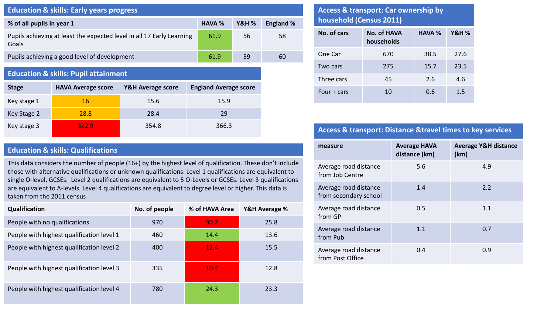#### **Education & skills: Early years progress**

| % of all pupils in year 1                                                      | <b>HAVA %</b> | <b>Y&amp;H %</b> | <b>England %</b> |
|--------------------------------------------------------------------------------|---------------|------------------|------------------|
| Pupils achieving at least the expected level in all 17 Early Learning<br>Goals | 61.9          | 56               | 58               |
| Pupils achieving a good level of development                                   | 61.9          | 59               | 60               |

#### **Education & skills: Pupil attainment**

| <b>Stage</b> | <b>HAVA Average score</b> | <b>Y&amp;H Average score</b> | <b>England Average score</b> |
|--------------|---------------------------|------------------------------|------------------------------|
| Key stage 1  | 16                        | 15.6                         | 15.9                         |
| Key Stage 2  | 28.8                      | 28.4                         | 29                           |
| Key stage 3  | 322.9                     | 354.8                        | 366.3                        |

# **Access & transport: Car ownership by household (Census 2011)**

| No. of cars   | No. of HAVA<br>households | <b>HAVA %</b> | <b>Y&amp;H</b> % |
|---------------|---------------------------|---------------|------------------|
| One Car       | 670                       | 38.5          | 27.6             |
| Two cars      | 275                       | 15.7          | 23.5             |
| Three cars    | 45                        | 2.6           | 4.6              |
| Four $+$ cars | 10                        | 0.6           | $1.5\,$          |

#### **Access & transport: Distance &travel times to key services**

## **Education & skills: Qualifications**

This data considers the number of people (16+) by the highest level of qualification. These don't include those with alternative qualifications or unknown qualifications. Level 1 qualifications are equivalent to single O-level, GCSEs. Level 2 qualifications are equivalent to 5 O-Levels or GCSEs. Level 3 qualifications are equivalent to A-levels. Level 4 qualifications are equivalent to degree level or higher. This data is taken from the 2011 census

| <b>Qualification</b>                      | No. of people | % of HAVA Area    | Y&H Average % |
|-------------------------------------------|---------------|-------------------|---------------|
| People with no qualifications             | 970           | 30.2 <sub>1</sub> | 25.8          |
| People with highest qualification level 1 | 460           | 14.4              | 13.6          |
| People with highest qualification level 2 | 400           | 12.4              | 15.5          |
| People with highest qualification level 3 | 335           | 10.4              | 12.8          |
| People with highest qualification level 4 | 780           | 24.3              | 23.3          |

| measure                                        | <b>Average HAVA</b><br>distance (km) | <b>Average Y&amp;H distance</b><br>(km) |
|------------------------------------------------|--------------------------------------|-----------------------------------------|
| Average road distance<br>from Job Centre       | 5.6                                  | 4.9                                     |
| Average road distance<br>from secondary school | 1.4                                  | 2.2                                     |
| Average road distance<br>from GP               | 0.5                                  | 1.1                                     |
| Average road distance<br>from Pub              | 1.1                                  | 0.7                                     |
| Average road distance<br>from Post Office      | 0.4                                  | 0.9                                     |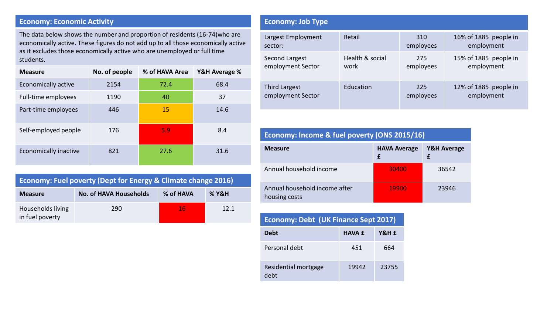#### **Economy: Economic Activity**

The data below shows the number and proportion of residents (16-74)who are economically active. These figures do not add up to all those economically active as it excludes those economically active who are unemployed or full time students.

| <b>Measure</b>        | No. of people | % of HAVA Area | Y&H Average % |
|-----------------------|---------------|----------------|---------------|
| Economically active   | 2154          | 72.4           | 68.4          |
| Full-time employees   | 1190          | 40             | 37            |
| Part-time employees   | 446           | 15             | 14.6          |
| Self-employed people  | 176           | 5.9            | 8.4           |
| Economically inactive | 821           | 27.6           | 31.6          |

| Economy: Fuel poverty (Dept for Energy & Climate change 2016) |                               |           |                  |
|---------------------------------------------------------------|-------------------------------|-----------|------------------|
| <b>Measure</b>                                                | <b>No. of HAVA Households</b> | % of HAVA | <b>% Y&amp;H</b> |
| Households living<br>in fuel poverty                          | 290                           | -16       | 12.1             |

#### **Economy: Job Type** Largest Employment sector: Retail 310 employees 16% of 1885 people in employment Second Largest employment Sector Health & social work 275 employees 15% of 1885 people in employment Third Largest employment Sector Education 225 employees 12% of 1885 people in employment

| <b>Economy: Income &amp; fuel poverty (ONS 2015/16)</b>         |       |       |  |  |
|-----------------------------------------------------------------|-------|-------|--|--|
| <b>Y&amp;H Average</b><br><b>HAVA Average</b><br><b>Measure</b> |       |       |  |  |
| Annual household income                                         | 30400 | 36542 |  |  |
| Annual household income after<br>housing costs                  | 19900 | 23946 |  |  |

| <b>Economy: Debt (UK Finance Sept 2017)</b> |        |       |  |
|---------------------------------------------|--------|-------|--|
| <b>Debt</b>                                 | HAVA f | Y&H £ |  |
| Personal debt                               | 451    | 664   |  |
| Residential mortgage<br>debt                | 19942  | 23755 |  |